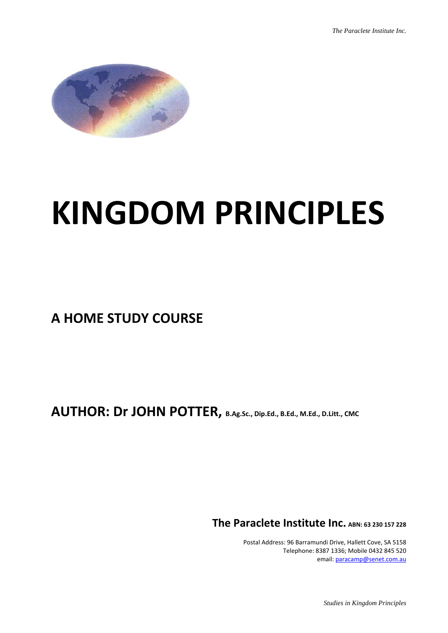

## **KINGDOM PRINCIPLES**

**A HOME STUDY COURSE**

**AUTHOR: Dr JOHN POTTER, B.Ag.Sc., Dip.Ed., B.Ed., M.Ed., D.Litt., CMC**

**The Paraclete Institute Inc. ABN: <sup>63</sup> <sup>230</sup> <sup>157</sup> <sup>228</sup>**

 Postal Address: 96 Barramundi Drive, Hallett Cove, SA 5158 Telephone: 8387 1336; Mobile 0432 845 520 email: paracamp@senet.com.au